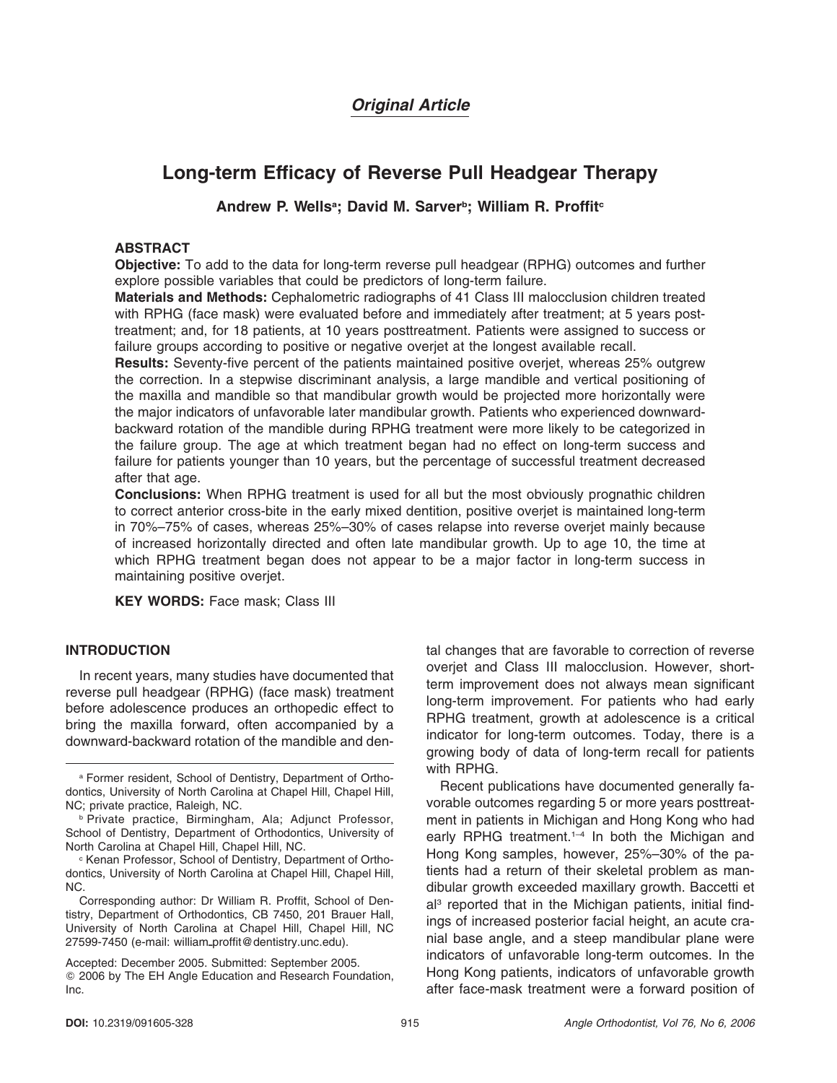# *Original Article*

# **Long-term Efficacy of Reverse Pull Headgear Therapy**

# Andrew P. Wells<sup>a</sup>; David M. Sarver<sup>b</sup>; William R. Proffit<sup>c</sup>

# **ABSTRACT**

**Objective:** To add to the data for long-term reverse pull headgear (RPHG) outcomes and further explore possible variables that could be predictors of long-term failure.

**Materials and Methods:** Cephalometric radiographs of 41 Class III malocclusion children treated with RPHG (face mask) were evaluated before and immediately after treatment; at 5 years posttreatment; and, for 18 patients, at 10 years posttreatment. Patients were assigned to success or failure groups according to positive or negative overjet at the longest available recall.

**Results:** Seventy-five percent of the patients maintained positive overjet, whereas 25% outgrew the correction. In a stepwise discriminant analysis, a large mandible and vertical positioning of the maxilla and mandible so that mandibular growth would be projected more horizontally were the major indicators of unfavorable later mandibular growth. Patients who experienced downwardbackward rotation of the mandible during RPHG treatment were more likely to be categorized in the failure group. The age at which treatment began had no effect on long-term success and failure for patients younger than 10 years, but the percentage of successful treatment decreased after that age.

**Conclusions:** When RPHG treatment is used for all but the most obviously prognathic children to correct anterior cross-bite in the early mixed dentition, positive overjet is maintained long-term in 70%–75% of cases, whereas 25%–30% of cases relapse into reverse overjet mainly because of increased horizontally directed and often late mandibular growth. Up to age 10, the time at which RPHG treatment began does not appear to be a major factor in long-term success in maintaining positive overjet.

**KEY WORDS:** Face mask; Class III

# **INTRODUCTION**

In recent years, many studies have documented that reverse pull headgear (RPHG) (face mask) treatment before adolescence produces an orthopedic effect to bring the maxilla forward, often accompanied by a downward-backward rotation of the mandible and den-

Corresponding author: Dr William R. Proffit, School of Dentistry, Department of Orthodontics, CB 7450, 201 Brauer Hall, University of North Carolina at Chapel Hill, Chapel Hill, NC 27599-7450 (e-mail: william-proffit@dentistry.unc.edu).

tal changes that are favorable to correction of reverse overjet and Class III malocclusion. However, shortterm improvement does not always mean significant long-term improvement. For patients who had early RPHG treatment, growth at adolescence is a critical indicator for long-term outcomes. Today, there is a growing body of data of long-term recall for patients with RPHG.

Recent publications have documented generally favorable outcomes regarding 5 or more years posttreatment in patients in Michigan and Hong Kong who had early RPHG treatment.<sup>1-4</sup> In both the Michigan and Hong Kong samples, however, 25%–30% of the patients had a return of their skeletal problem as mandibular growth exceeded maxillary growth. Baccetti et al<sup>3</sup> reported that in the Michigan patients, initial findings of increased posterior facial height, an acute cranial base angle, and a steep mandibular plane were indicators of unfavorable long-term outcomes. In the Hong Kong patients, indicators of unfavorable growth after face-mask treatment were a forward position of

<sup>a</sup> Former resident, School of Dentistry, Department of Orthodontics, University of North Carolina at Chapel Hill, Chapel Hill, NC; private practice, Raleigh, NC.

<sup>b</sup> Private practice, Birmingham, Ala; Adjunct Professor, School of Dentistry, Department of Orthodontics, University of North Carolina at Chapel Hill, Chapel Hill, NC.

<sup>c</sup> Kenan Professor, School of Dentistry, Department of Orthodontics, University of North Carolina at Chapel Hill, Chapel Hill, NC.

Accepted: December 2005. Submitted: September 2005. 2006 by The EH Angle Education and Research Foundation, Inc.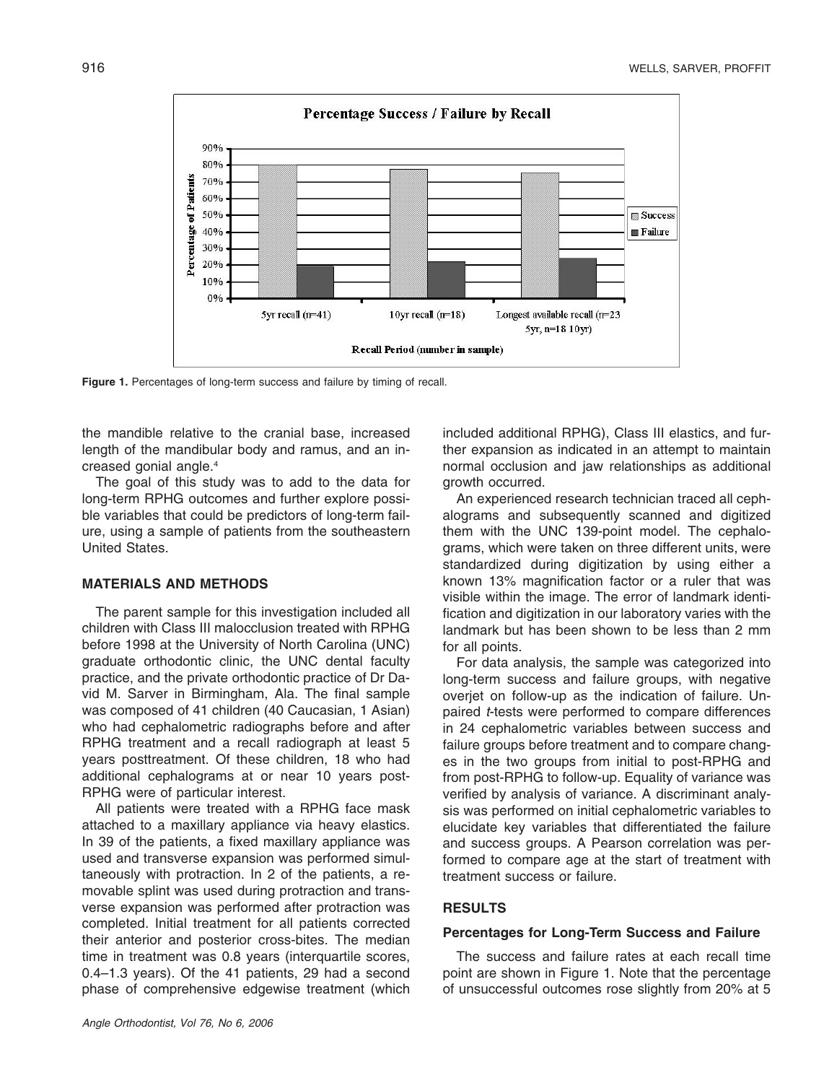

**Figure 1.** Percentages of long-term success and failure by timing of recall.

the mandible relative to the cranial base, increased length of the mandibular body and ramus, and an increased gonial angle.4

The goal of this study was to add to the data for long-term RPHG outcomes and further explore possible variables that could be predictors of long-term failure, using a sample of patients from the southeastern United States.

# **MATERIALS AND METHODS**

The parent sample for this investigation included all children with Class III malocclusion treated with RPHG before 1998 at the University of North Carolina (UNC) graduate orthodontic clinic, the UNC dental faculty practice, and the private orthodontic practice of Dr David M. Sarver in Birmingham, Ala. The final sample was composed of 41 children (40 Caucasian, 1 Asian) who had cephalometric radiographs before and after RPHG treatment and a recall radiograph at least 5 years posttreatment. Of these children, 18 who had additional cephalograms at or near 10 years post-RPHG were of particular interest.

All patients were treated with a RPHG face mask attached to a maxillary appliance via heavy elastics. In 39 of the patients, a fixed maxillary appliance was used and transverse expansion was performed simultaneously with protraction. In 2 of the patients, a removable splint was used during protraction and transverse expansion was performed after protraction was completed. Initial treatment for all patients corrected their anterior and posterior cross-bites. The median time in treatment was 0.8 years (interquartile scores, 0.4–1.3 years). Of the 41 patients, 29 had a second phase of comprehensive edgewise treatment (which

included additional RPHG), Class III elastics, and further expansion as indicated in an attempt to maintain normal occlusion and jaw relationships as additional growth occurred.

An experienced research technician traced all cephalograms and subsequently scanned and digitized them with the UNC 139-point model. The cephalograms, which were taken on three different units, were standardized during digitization by using either a known 13% magnification factor or a ruler that was visible within the image. The error of landmark identification and digitization in our laboratory varies with the landmark but has been shown to be less than 2 mm for all points.

For data analysis, the sample was categorized into long-term success and failure groups, with negative overjet on follow-up as the indication of failure. Unpaired *t*-tests were performed to compare differences in 24 cephalometric variables between success and failure groups before treatment and to compare changes in the two groups from initial to post-RPHG and from post-RPHG to follow-up. Equality of variance was verified by analysis of variance. A discriminant analysis was performed on initial cephalometric variables to elucidate key variables that differentiated the failure and success groups. A Pearson correlation was performed to compare age at the start of treatment with treatment success or failure.

# **RESULTS**

## **Percentages for Long-Term Success and Failure**

The success and failure rates at each recall time point are shown in Figure 1. Note that the percentage of unsuccessful outcomes rose slightly from 20% at 5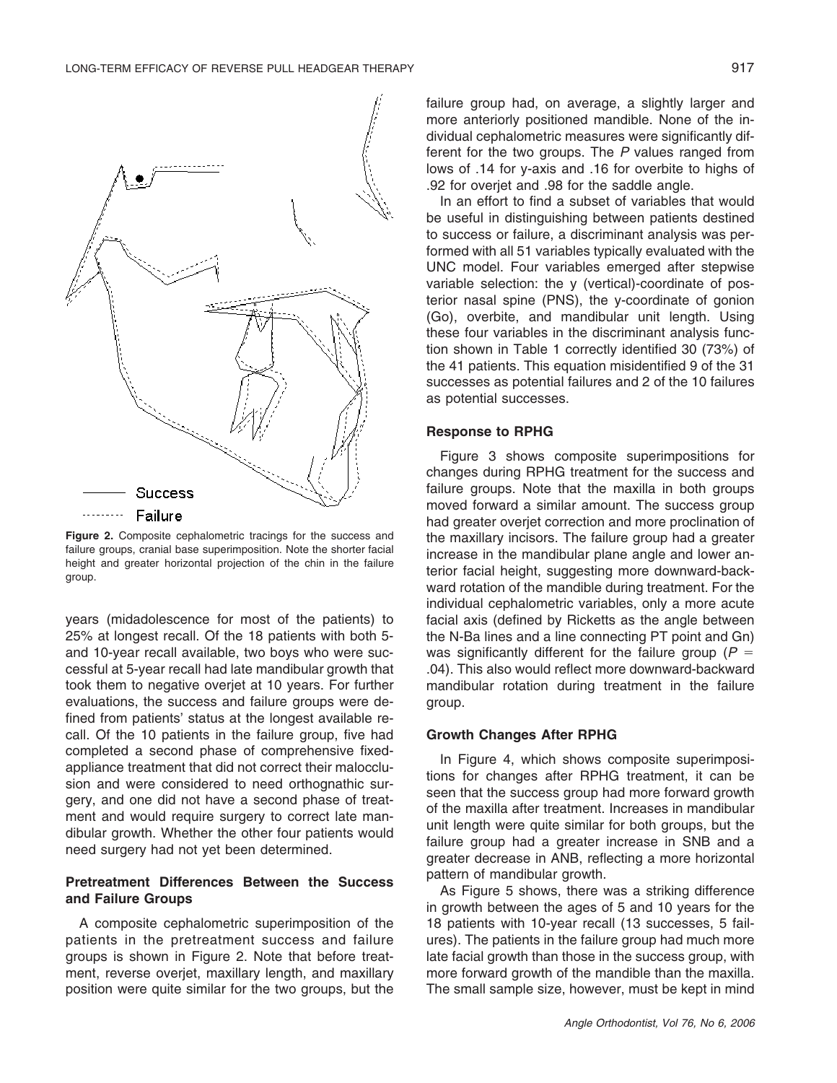

**Figure 2.** Composite cephalometric tracings for the success and failure groups, cranial base superimposition. Note the shorter facial height and greater horizontal projection of the chin in the failure group.

years (midadolescence for most of the patients) to 25% at longest recall. Of the 18 patients with both 5 and 10-year recall available, two boys who were successful at 5-year recall had late mandibular growth that took them to negative overjet at 10 years. For further evaluations, the success and failure groups were defined from patients' status at the longest available recall. Of the 10 patients in the failure group, five had completed a second phase of comprehensive fixedappliance treatment that did not correct their malocclusion and were considered to need orthognathic surgery, and one did not have a second phase of treatment and would require surgery to correct late mandibular growth. Whether the other four patients would need surgery had not yet been determined.

# **Pretreatment Differences Between the Success and Failure Groups**

A composite cephalometric superimposition of the patients in the pretreatment success and failure groups is shown in Figure 2. Note that before treatment, reverse overjet, maxillary length, and maxillary position were quite similar for the two groups, but the failure group had, on average, a slightly larger and more anteriorly positioned mandible. None of the individual cephalometric measures were significantly different for the two groups. The *P* values ranged from lows of .14 for y-axis and .16 for overbite to highs of .92 for overjet and .98 for the saddle angle.

In an effort to find a subset of variables that would be useful in distinguishing between patients destined to success or failure, a discriminant analysis was performed with all 51 variables typically evaluated with the UNC model. Four variables emerged after stepwise variable selection: the y (vertical)-coordinate of posterior nasal spine (PNS), the y-coordinate of gonion (Go), overbite, and mandibular unit length. Using these four variables in the discriminant analysis function shown in Table 1 correctly identified 30 (73%) of the 41 patients. This equation misidentified 9 of the 31 successes as potential failures and 2 of the 10 failures as potential successes.

#### **Response to RPHG**

Figure 3 shows composite superimpositions for changes during RPHG treatment for the success and failure groups. Note that the maxilla in both groups moved forward a similar amount. The success group had greater overjet correction and more proclination of the maxillary incisors. The failure group had a greater increase in the mandibular plane angle and lower anterior facial height, suggesting more downward-backward rotation of the mandible during treatment. For the individual cephalometric variables, only a more acute facial axis (defined by Ricketts as the angle between the N-Ba lines and a line connecting PT point and Gn) was significantly different for the failure group ( $P =$ .04). This also would reflect more downward-backward mandibular rotation during treatment in the failure group.

#### **Growth Changes After RPHG**

In Figure 4, which shows composite superimpositions for changes after RPHG treatment, it can be seen that the success group had more forward growth of the maxilla after treatment. Increases in mandibular unit length were quite similar for both groups, but the failure group had a greater increase in SNB and a greater decrease in ANB, reflecting a more horizontal pattern of mandibular growth.

As Figure 5 shows, there was a striking difference in growth between the ages of 5 and 10 years for the 18 patients with 10-year recall (13 successes, 5 failures). The patients in the failure group had much more late facial growth than those in the success group, with more forward growth of the mandible than the maxilla. The small sample size, however, must be kept in mind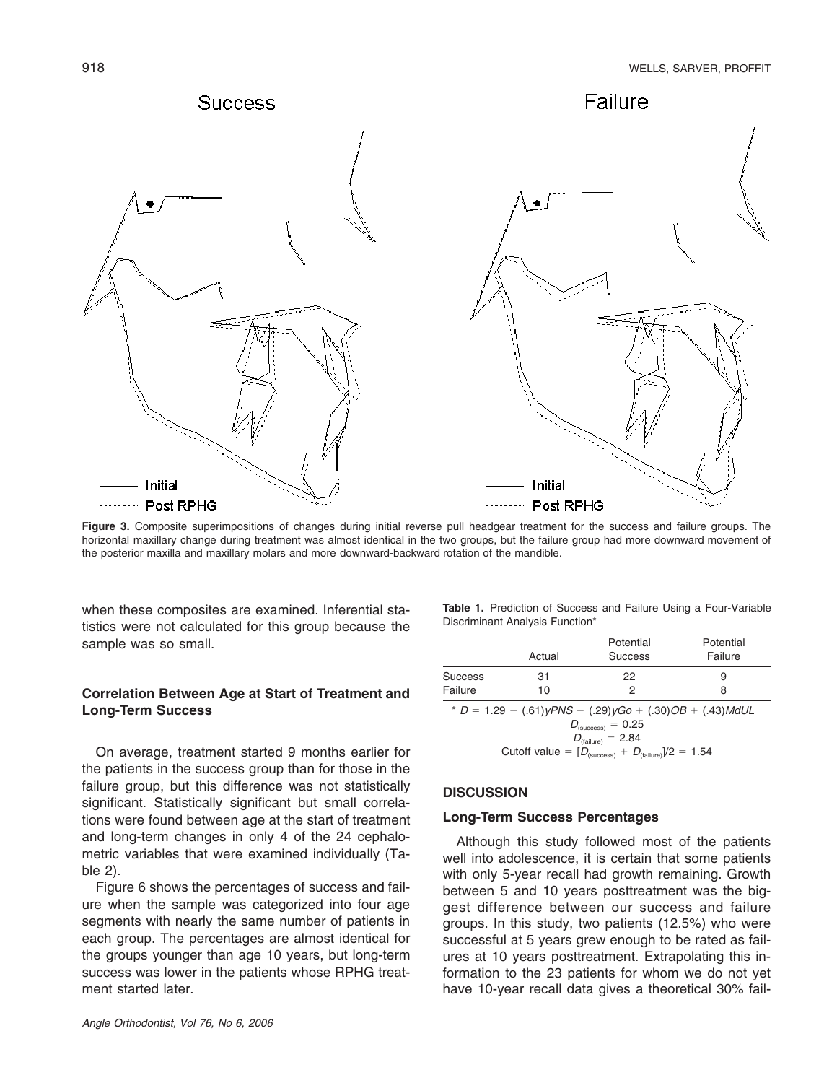

**Figure 3.** Composite superimpositions of changes during initial reverse pull headgear treatment for the success and failure groups. The horizontal maxillary change during treatment was almost identical in the two groups, but the failure group had more downward movement of the posterior maxilla and maxillary molars and more downward-backward rotation of the mandible.

when these composites are examined. Inferential statistics were not calculated for this group because the sample was so small.

# **Correlation Between Age at Start of Treatment and Long-Term Success**

On average, treatment started 9 months earlier for the patients in the success group than for those in the failure group, but this difference was not statistically significant. Statistically significant but small correlations were found between age at the start of treatment and long-term changes in only 4 of the 24 cephalometric variables that were examined individually (Table 2).

Figure 6 shows the percentages of success and failure when the sample was categorized into four age segments with nearly the same number of patients in each group. The percentages are almost identical for the groups younger than age 10 years, but long-term success was lower in the patients whose RPHG treatment started later.

**Table 1.** Prediction of Success and Failure Using a Four-Variable Discriminant Analysis Function\*

|                                                           | Actual | Potential<br><b>Success</b> | Potential<br>Failure |  |
|-----------------------------------------------------------|--------|-----------------------------|----------------------|--|
| <b>Success</b>                                            | 31     | 22                          | 9                    |  |
| Failure                                                   | 10     | 2                           | 8                    |  |
| * $D = 1.29 - (.61)yPNS - (.29)yGo + (.30)OB + (.43)MdUL$ |        |                             |                      |  |

 1.29 (.61)*yPNS* (.29)*yGo* (.30)*OB* (.43)*MdUL*  $D_{\textrm{(success)}} = 0.25$  $D_{\text{(failure)}} = 2.84$ Cutoff value =  $[D_{\text{(success)}} + D_{\text{(failure)}}]/2 = 1.54$ 

# **DISCUSSION**

#### **Long-Term Success Percentages**

Although this study followed most of the patients well into adolescence, it is certain that some patients with only 5-year recall had growth remaining. Growth between 5 and 10 years posttreatment was the biggest difference between our success and failure groups. In this study, two patients (12.5%) who were successful at 5 years grew enough to be rated as failures at 10 years posttreatment. Extrapolating this information to the 23 patients for whom we do not yet have 10-year recall data gives a theoretical 30% fail-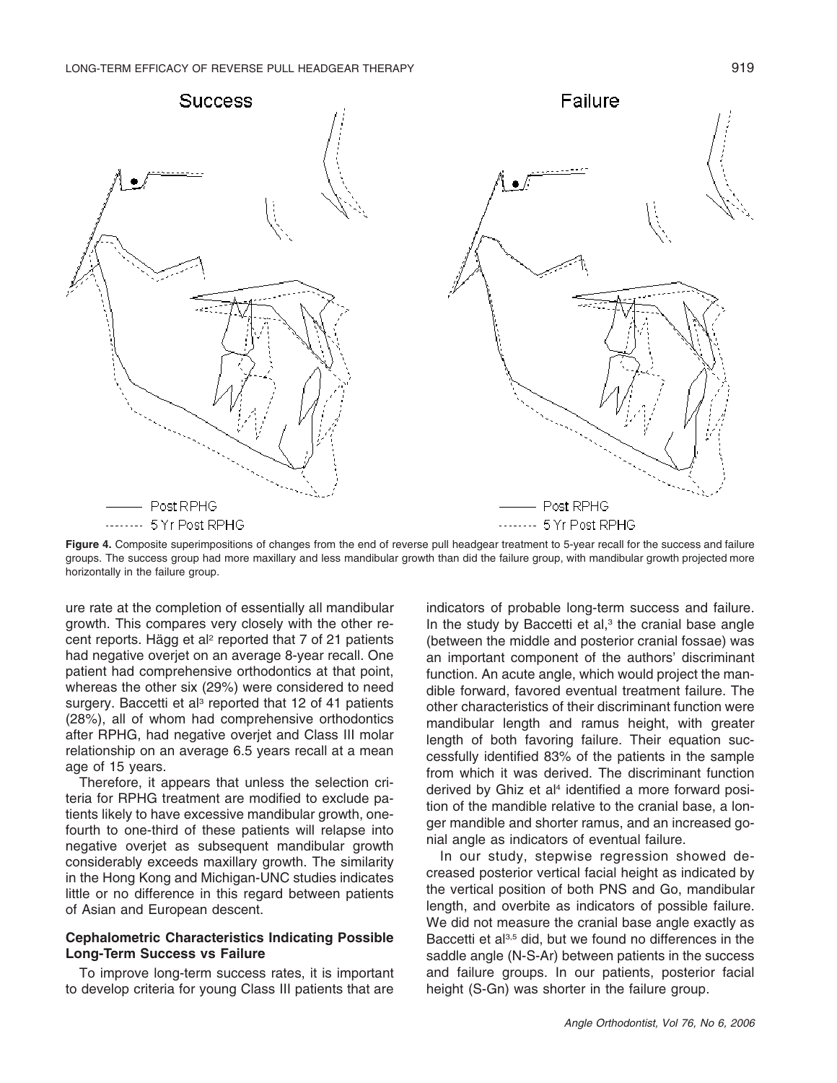

Figure 4. Composite superimpositions of changes from the end of reverse pull headgear treatment to 5-year recall for the success and failure groups. The success group had more maxillary and less mandibular growth than did the failure group, with mandibular growth projected more horizontally in the failure group.

ure rate at the completion of essentially all mandibular growth. This compares very closely with the other recent reports. Hägg et al<sup>2</sup> reported that 7 of 21 patients had negative overjet on an average 8-year recall. One patient had comprehensive orthodontics at that point, whereas the other six (29%) were considered to need surgery. Baccetti et al<sup>3</sup> reported that 12 of 41 patients (28%), all of whom had comprehensive orthodontics after RPHG, had negative overjet and Class III molar relationship on an average 6.5 years recall at a mean age of 15 years.

Therefore, it appears that unless the selection criteria for RPHG treatment are modified to exclude patients likely to have excessive mandibular growth, onefourth to one-third of these patients will relapse into negative overjet as subsequent mandibular growth considerably exceeds maxillary growth. The similarity in the Hong Kong and Michigan-UNC studies indicates little or no difference in this regard between patients of Asian and European descent.

### **Cephalometric Characteristics Indicating Possible Long-Term Success vs Failure**

To improve long-term success rates, it is important to develop criteria for young Class III patients that are

indicators of probable long-term success and failure. In the study by Baccetti et al, $3$  the cranial base angle (between the middle and posterior cranial fossae) was an important component of the authors' discriminant function. An acute angle, which would project the mandible forward, favored eventual treatment failure. The other characteristics of their discriminant function were mandibular length and ramus height, with greater length of both favoring failure. Their equation successfully identified 83% of the patients in the sample from which it was derived. The discriminant function derived by Ghiz et al<sup>4</sup> identified a more forward position of the mandible relative to the cranial base, a longer mandible and shorter ramus, and an increased gonial angle as indicators of eventual failure.

In our study, stepwise regression showed decreased posterior vertical facial height as indicated by the vertical position of both PNS and Go, mandibular length, and overbite as indicators of possible failure. We did not measure the cranial base angle exactly as Baccetti et al<sup>3,5</sup> did, but we found no differences in the saddle angle (N-S-Ar) between patients in the success and failure groups. In our patients, posterior facial height (S-Gn) was shorter in the failure group.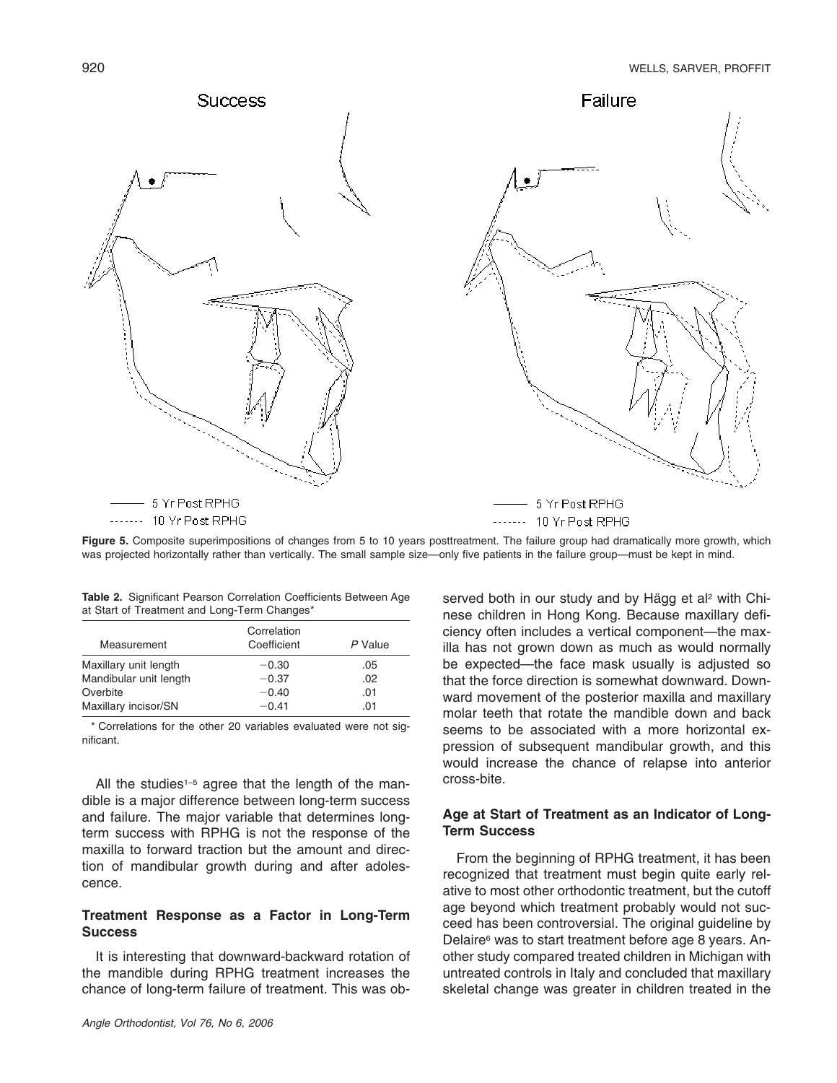

Figure 5. Composite superimpositions of changes from 5 to 10 years posttreatment. The failure group had dramatically more growth, which was projected horizontally rather than vertically. The small sample size—only five patients in the failure group—must be kept in mind.

| Measurement            | Correlation<br>Coefficient | P Value |
|------------------------|----------------------------|---------|
| Maxillary unit length  | $-0.30$                    | .05     |
| Mandibular unit length | $-0.37$                    | .02     |
| Overbite               | $-0.40$                    | .01     |
| Maxillary incisor/SN   | $-0.41$                    | .01     |

**Table 2.** Significant Pearson Correlation Coefficients Between Age at Start of Treatment and Long-Term Changes\*

\* Correlations for the other 20 variables evaluated were not significant.

All the studies<sup> $1-5$ </sup> agree that the length of the mandible is a major difference between long-term success and failure. The major variable that determines longterm success with RPHG is not the response of the maxilla to forward traction but the amount and direction of mandibular growth during and after adolescence.

# **Treatment Response as a Factor in Long-Term Success**

It is interesting that downward-backward rotation of the mandible during RPHG treatment increases the chance of long-term failure of treatment. This was observed both in our study and by Hägg et al<sup>2</sup> with Chinese children in Hong Kong. Because maxillary deficiency often includes a vertical component—the maxilla has not grown down as much as would normally be expected—the face mask usually is adjusted so that the force direction is somewhat downward. Downward movement of the posterior maxilla and maxillary molar teeth that rotate the mandible down and back seems to be associated with a more horizontal expression of subsequent mandibular growth, and this would increase the chance of relapse into anterior cross-bite.

# **Age at Start of Treatment as an Indicator of Long-Term Success**

From the beginning of RPHG treatment, it has been recognized that treatment must begin quite early relative to most other orthodontic treatment, but the cutoff age beyond which treatment probably would not succeed has been controversial. The original guideline by Delaire<sup>6</sup> was to start treatment before age 8 years. Another study compared treated children in Michigan with untreated controls in Italy and concluded that maxillary skeletal change was greater in children treated in the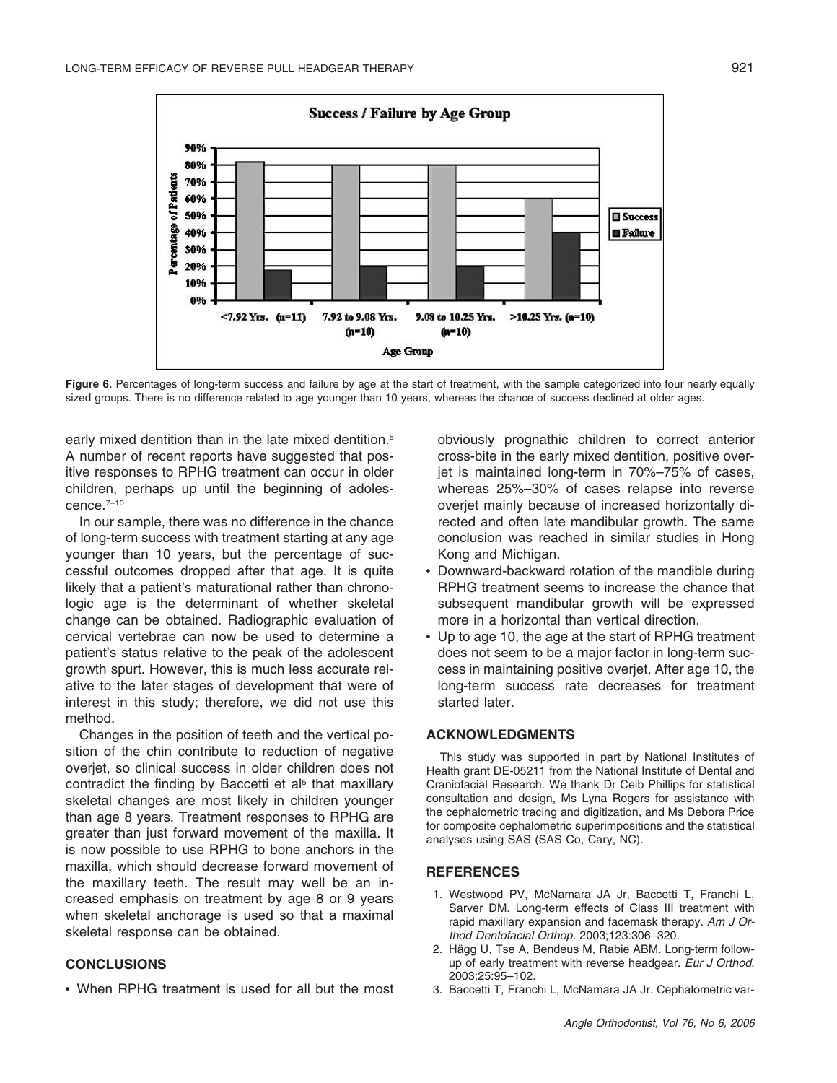

Figure 6. Percentages of long-term success and failure by age at the start of treatment, with the sample categorized into four nearly equally sized groups. There is no difference related to age younger than 10 years, whereas the chance of success declined at older ages.

early mixed dentition than in the late mixed dentition.<sup>5</sup> A number of recent reports have suggested that positive responses to RPHG treatment can occur in older children, perhaps up until the beginning of adolescence.7–10

In our sample, there was no difference in the chance of long-term success with treatment starting at any age younger than 10 years, but the percentage of successful outcomes dropped after that age. It is quite likely that a patient's maturational rather than chronologic age is the determinant of whether skeletal change can be obtained. Radiographic evaluation of cervical vertebrae can now be used to determine a patient's status relative to the peak of the adolescent growth spurt. However, this is much less accurate relative to the later stages of development that were of interest in this study; therefore, we did not use this method.

Changes in the position of teeth and the vertical position of the chin contribute to reduction of negative overjet, so clinical success in older children does not contradict the finding by Baccetti et al<sup>5</sup> that maxillary skeletal changes are most likely in children younger than age 8 years. Treatment responses to RPHG are greater than just forward movement of the maxilla. It is now possible to use RPHG to bone anchors in the maxilla, which should decrease forward movement of the maxillary teeth. The result may well be an increased emphasis on treatment by age 8 or 9 years when skeletal anchorage is used so that a maximal skeletal response can be obtained.

## **CONCLUSIONS**

• When RPHG treatment is used for all but the most

obviously prognathic children to correct anterior cross-bite in the early mixed dentition, positive overjet is maintained long-term in 70%–75% of cases, whereas 25%–30% of cases relapse into reverse overjet mainly because of increased horizontally directed and often late mandibular growth. The same conclusion was reached in similar studies in Hong Kong and Michigan.

- Downward-backward rotation of the mandible during RPHG treatment seems to increase the chance that subsequent mandibular growth will be expressed more in a horizontal than vertical direction.
- Up to age 10, the age at the start of RPHG treatment does not seem to be a major factor in long-term success in maintaining positive overjet. After age 10, the long-term success rate decreases for treatment started later.

#### **ACKNOWLEDGMENTS**

This study was supported in part by National Institutes of Health grant DE-05211 from the National Institute of Dental and Craniofacial Research. We thank Dr Ceib Phillips for statistical consultation and design, Ms Lyna Rogers for assistance with the cephalometric tracing and digitization, and Ms Debora Price for composite cephalometric superimpositions and the statistical analyses using SAS (SAS Co, Cary, NC).

#### **REFERENCES**

- 1. Westwood PV, McNamara JA Jr, Baccetti T, Franchi L, Sarver DM. Long-term effects of Class III treatment with rapid maxillary expansion and facemask therapy. *Am J Orthod Dentofacial Orthop.* 2003;123:306–320.
- 2. Hägg U, Tse A, Bendeus M, Rabie ABM. Long-term followup of early treatment with reverse headgear. *Eur J Orthod.* 2003;25:95–102.
- 3. Baccetti T, Franchi L, McNamara JA Jr. Cephalometric var-